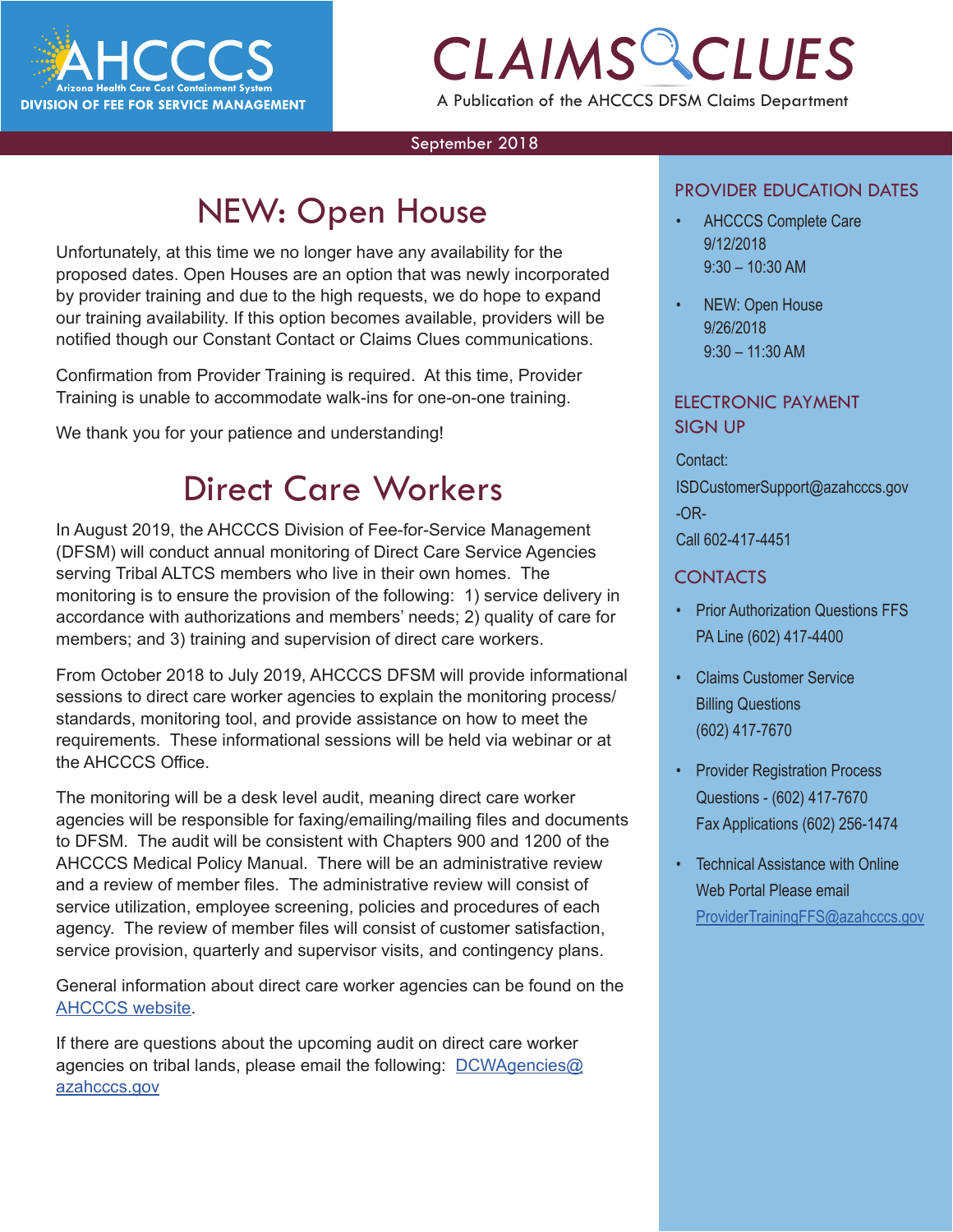

# *CLAIMS CLUES* A Publication of the AHCCCS DFSM Claims Department

#### September 2018

# NEW: Open House

Unfortunately, at this time we no longer have any availability for the proposed dates. Open Houses are an option that was newly incorporated by provider training and due to the high requests, we do hope to expand our training availability. If this option becomes available, providers will be notified though our Constant Contact or Claims Clues communications.

Confirmation from Provider Training is required. At this time, Provider Training is unable to accommodate walk-ins for one-on-one training.

We thank you for your patience and understanding!

## Direct Care Workers

In August 2019, the AHCCCS Division of Fee-for-Service Management (DFSM) will conduct annual monitoring of Direct Care Service Agencies serving Tribal ALTCS members who live in their own homes. The monitoring is to ensure the provision of the following: 1) service delivery in accordance with authorizations and members' needs; 2) quality of care for members; and 3) training and supervision of direct care workers.

From October 2018 to July 2019, AHCCCS DFSM will provide informational sessions to direct care worker agencies to explain the monitoring process/ standards, monitoring tool, and provide assistance on how to meet the requirements. These informational sessions will be held via webinar or at the AHCCCS Office.

The monitoring will be a desk level audit, meaning direct care worker agencies will be responsible for faxing/emailing/mailing files and documents to DFSM. The audit will be consistent with Chapters 900 and 1200 of the AHCCCS Medical Policy Manual. There will be an administrative review and a review of member files. The administrative review will consist of service utilization, employee screening, policies and procedures of each agency. The review of member files will consist of customer satisfaction, service provision, quarterly and supervisor visits, and contingency plans.

General information about direct care worker agencies can be found on the [AHCCCS website](https://www.azahcccs.gov/PlansProviders/CurrentProviders/DCW/
).

If there are questions about the upcoming audit on direct care worker agencies on tribal lands, please email the following: [DCWAgencies@](mailto:DCWAgencies%40azahcccs.gov%20?subject=) [azahcccs.gov](mailto:DCWAgencies%40azahcccs.gov%20?subject=)

### PROVIDER EDUCATION DATES

- TROVIDER EDUCATION DATES<br> **CONTRACT AND A SET AND A SET AND SET AND SET AND SET AND SET AND SET AND SET AND SET AND SET AND SET AND SET AND SET AND SET AND SET AND SET AND SET AND SET AND SET AND SET AND SET AND SET AND SE** • AHCCCS Complete Care 9/12/2018 9:30 – 10:30 AM
	- NEW: Open House 9/26/2018 9:30 – 11:30 AM

### ELECTRONIC PAYMENT SIGN UP

Contact: ISDCustomerSupport@azahcccs.gov -OR-

Call 602-417-4451

### CONTACTS

- Prior Authorization Questions FFS PA Line (602) 417-4400
- Claims Customer Service Billing Questions (602) 417-7670
- Provider Registration Process Questions - (602) 417-7670 Fax Applications (602) 256-1474
- Technical Assistance with Online Web Portal Please email [ProviderTrainingFFS@azahcccs.gov](mailto:ProviderTrainingFFS%40azahcccs.gov%20?subject=Tech%20Support)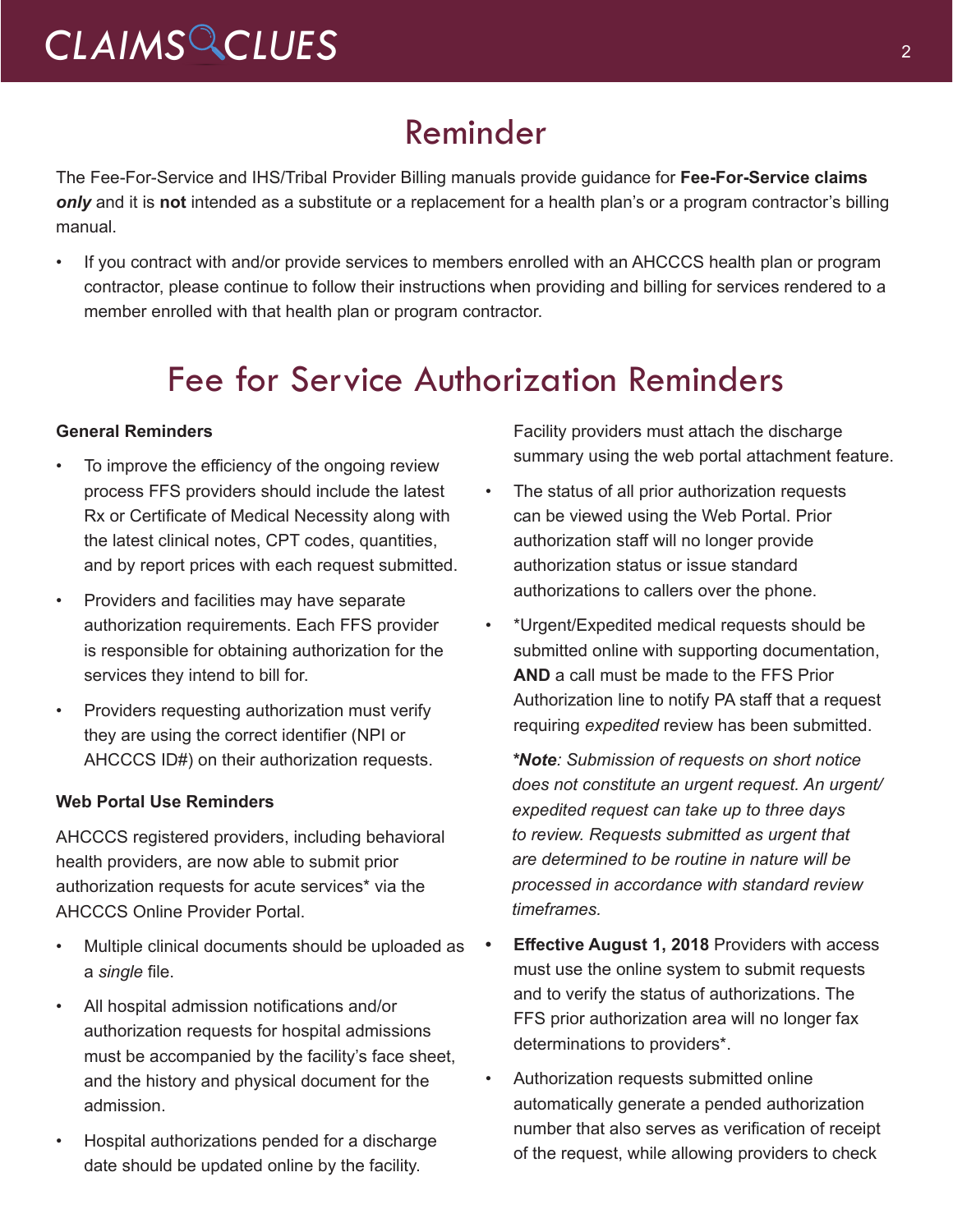# Reminder

The Fee-For-Service and IHS/Tribal Provider Billing manuals provide guidance for **Fee-For-Service claims**  *only* and it is **not** intended as a substitute or a replacement for a health plan's or a program contractor's billing manual.

• If you contract with and/or provide services to members enrolled with an AHCCCS health plan or program contractor, please continue to follow their instructions when providing and billing for services rendered to a member enrolled with that health plan or program contractor.

# Fee for Service Authorization Reminders

### **General Reminders**

- To improve the efficiency of the ongoing review process FFS providers should include the latest Rx or Certificate of Medical Necessity along with the latest clinical notes, CPT codes, quantities, and by report prices with each request submitted.
- Providers and facilities may have separate authorization requirements. Each FFS provider is responsible for obtaining authorization for the services they intend to bill for.
- Providers requesting authorization must verify they are using the correct identifier (NPI or AHCCCS ID#) on their authorization requests.

#### **Web Portal Use Reminders**

AHCCCS registered providers, including behavioral health providers, are now able to submit prior authorization requests for acute services\* via the AHCCCS Online Provider Portal.

- Multiple clinical documents should be uploaded as a *single* file.
- All hospital admission notifications and/or authorization requests for hospital admissions must be accompanied by the facility's face sheet, and the history and physical document for the admission.
- Hospital authorizations pended for a discharge date should be updated online by the facility.

Facility providers must attach the discharge summary using the web portal attachment feature.

- The status of all prior authorization requests can be viewed using the Web Portal. Prior authorization staff will no longer provide authorization status or issue standard authorizations to callers over the phone.
- \*Urgent/Expedited medical requests should be submitted online with supporting documentation, **AND** a call must be made to the FFS Prior Authorization line to notify PA staff that a request requiring *expedited* review has been submitted.

*\*Note: Submission of requests on short notice does not constitute an urgent request. An urgent/ expedited request can take up to three days to review. Requests submitted as urgent that are determined to be routine in nature will be processed in accordance with standard review timeframes.* 

- **• Effective August 1, 2018** Providers with access must use the online system to submit requests and to verify the status of authorizations. The FFS prior authorization area will no longer fax determinations to providers\*.
- Authorization requests submitted online automatically generate a pended authorization number that also serves as verification of receipt of the request, while allowing providers to check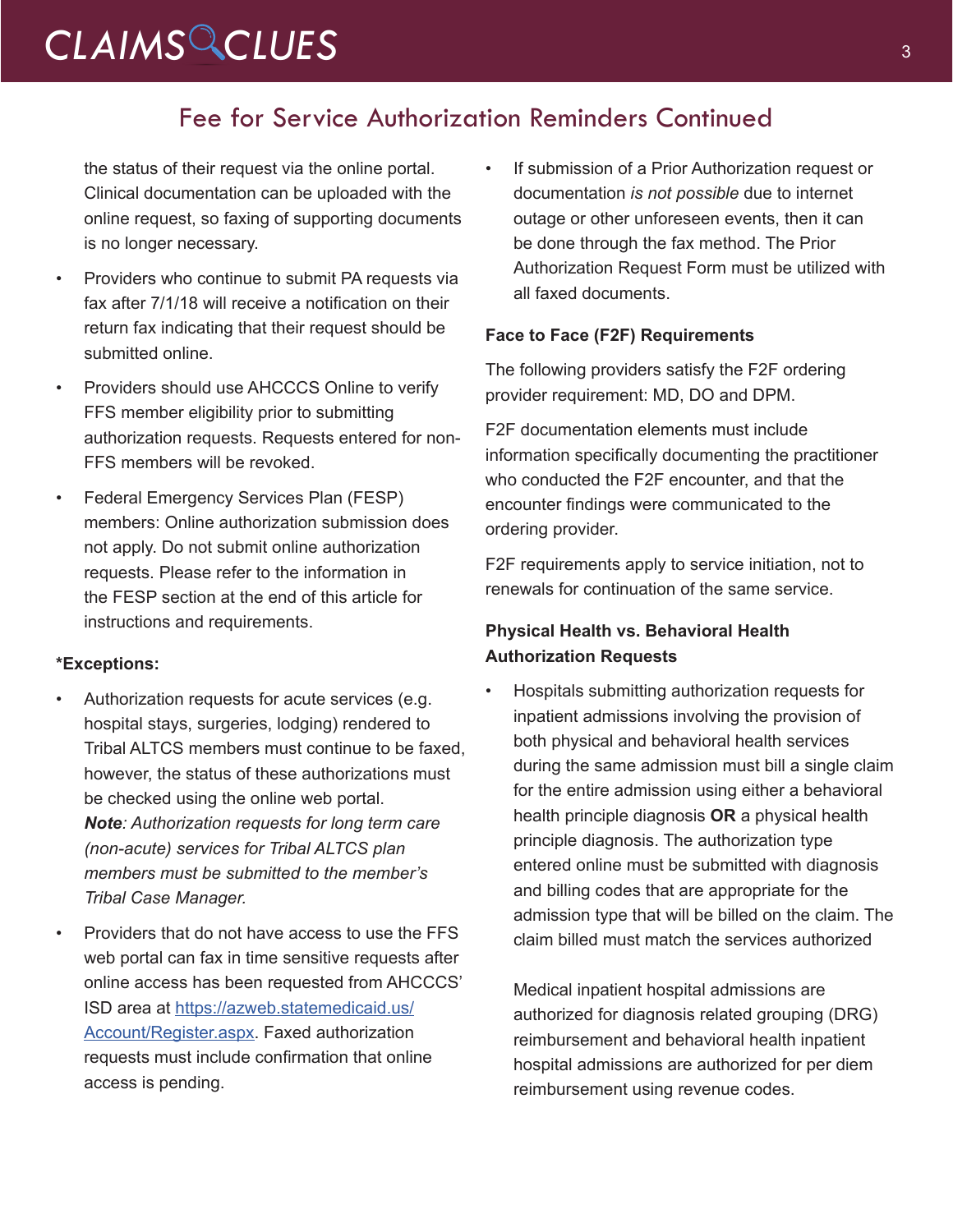# CLAIMS CLUES<sup>3</sup>

### Fee for Service Authorization Reminders Continued

the status of their request via the online portal. Clinical documentation can be uploaded with the online request, so faxing of supporting documents is no longer necessary.

- Providers who continue to submit PA requests via fax after 7/1/18 will receive a notification on their return fax indicating that their request should be submitted online.
- Providers should use AHCCCS Online to verify FFS member eligibility prior to submitting authorization requests. Requests entered for non-FFS members will be revoked.
- Federal Emergency Services Plan (FESP) members: Online authorization submission does not apply. Do not submit online authorization requests. Please refer to the information in the FESP section at the end of this article for instructions and requirements.

### **\*Exceptions:**

- Authorization requests for acute services (e.g. hospital stays, surgeries, lodging) rendered to Tribal ALTCS members must continue to be faxed, however, the status of these authorizations must be checked using the online web portal. *Note: Authorization requests for long term care (non-acute) services for Tribal ALTCS plan members must be submitted to the member's Tribal Case Manager.*
- Providers that do not have access to use the FFS web portal can fax in time sensitive requests after online access has been requested from AHCCCS' ISD area at [https://azweb.statemedicaid.us/](https://azweb.statemedicaid.us/Account/Register.aspx) [Account/Register.aspx](https://azweb.statemedicaid.us/Account/Register.aspx). Faxed authorization requests must include confirmation that online access is pending.

If submission of a Prior Authorization request or documentation *is not possible* due to internet outage or other unforeseen events, then it can be done through the fax method. The Prior Authorization Request Form must be utilized with all faxed documents.

### **Face to Face (F2F) Requirements**

The following providers satisfy the F2F ordering provider requirement: MD, DO and DPM.

F2F documentation elements must include information specifically documenting the practitioner who conducted the F2F encounter, and that the encounter findings were communicated to the ordering provider.

F2F requirements apply to service initiation, not to renewals for continuation of the same service.

### **Physical Health vs. Behavioral Health Authorization Requests**

• Hospitals submitting authorization requests for inpatient admissions involving the provision of both physical and behavioral health services during the same admission must bill a single claim for the entire admission using either a behavioral health principle diagnosis **OR** a physical health principle diagnosis. The authorization type entered online must be submitted with diagnosis and billing codes that are appropriate for the admission type that will be billed on the claim. The claim billed must match the services authorized

Medical inpatient hospital admissions are authorized for diagnosis related grouping (DRG) reimbursement and behavioral health inpatient hospital admissions are authorized for per diem reimbursement using revenue codes.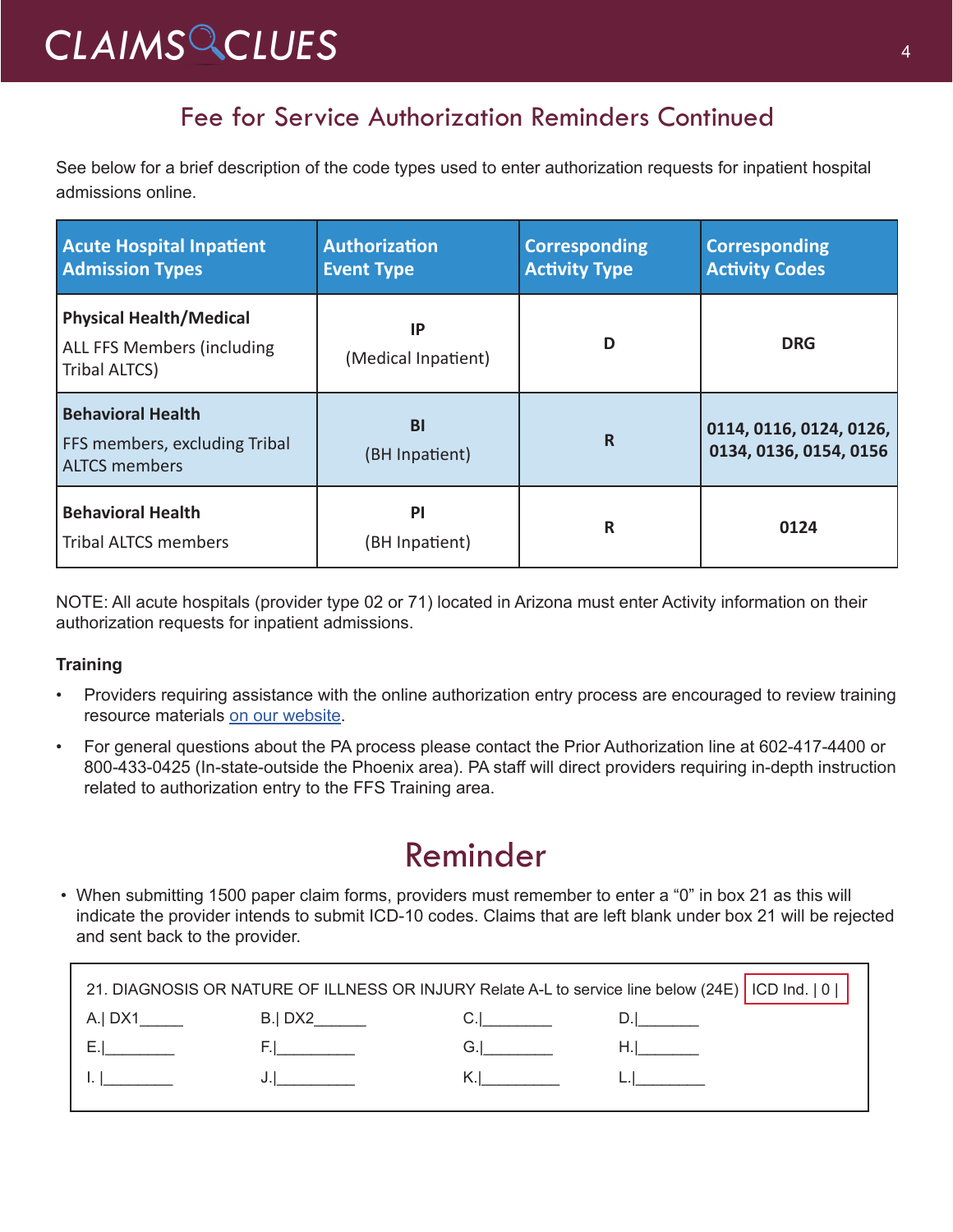# *CLAIMS CLUES* <sup>4</sup>

### Fee for Service Authorization Reminders Continued

See below for a brief description of the code types used to enter authorization requests for inpatient hospital admissions online.

| <b>Acute Hospital Inpatient</b><br><b>Admission Types</b>                         | <b>Authorization</b><br><b>Event Type</b> | <b>Corresponding</b><br><b>Activity Type</b> | <b>Corresponding</b><br><b>Activity Codes</b>     |
|-----------------------------------------------------------------------------------|-------------------------------------------|----------------------------------------------|---------------------------------------------------|
| <b>Physical Health/Medical</b><br>ALL FFS Members (including<br>Tribal ALTCS)     | ΙP<br>(Medical Inpatient)                 | D                                            | <b>DRG</b>                                        |
| <b>Behavioral Health</b><br>FFS members, excluding Tribal<br><b>ALTCS members</b> | <b>BI</b><br>(BH Inpatient)               | R                                            | 0114, 0116, 0124, 0126,<br>0134, 0136, 0154, 0156 |
| <b>Behavioral Health</b><br><b>Tribal ALTCS members</b>                           | <b>PI</b><br>(BH Inpatient)               | R                                            | 0124                                              |

NOTE: All acute hospitals (provider type 02 or 71) located in Arizona must enter Activity information on their authorization requests for inpatient admissions.

### **Training**

- Providers requiring assistance with the online authorization entry process are encouraged to review training resource materials [on our website](https://www.azahcccs.gov/Resources/Downloads/DFMSTraining/2018/PATraining_Final.pdf).
- For general questions about the PA process please contact the Prior Authorization line at 602-417-4400 or 800-433-0425 (In-state-outside the Phoenix area). PA staff will direct providers requiring in-depth instruction related to authorization entry to the FFS Training area.

## Reminder

• When submitting 1500 paper claim forms, providers must remember to enter a "0" in box 21 as this will indicate the provider intends to submit ICD-10 codes. Claims that are left blank under box 21 will be rejected and sent back to the provider.

| 21. DIAGNOSIS OR NATURE OF ILLNESS OR INJURY Relate A-L to service line below (24E)   ICD Ind.   0 |        |                                                                                                                |                                        |  |  |
|----------------------------------------------------------------------------------------------------|--------|----------------------------------------------------------------------------------------------------------------|----------------------------------------|--|--|
| A.  DX1                                                                                            | B. DX2 |                                                                                                                |                                        |  |  |
|                                                                                                    |        |                                                                                                                | H.I. and a structure of the structure. |  |  |
| <b>LE</b> Form of the state                                                                        |        | K.I. Santa Care and the Care of the Care of the Care of the Care of the Care of the Care of the Care of the Ca |                                        |  |  |